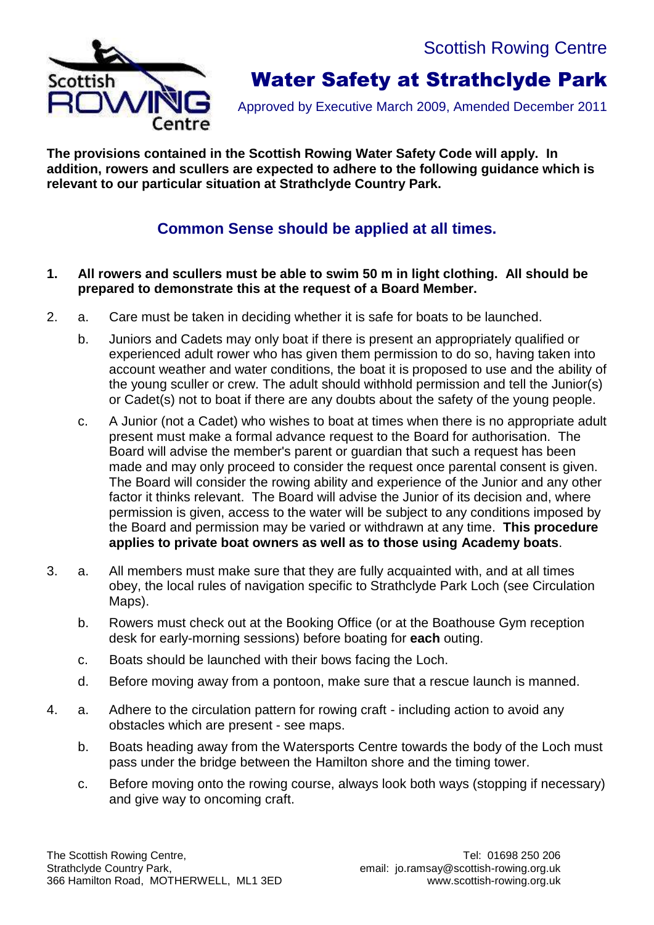Scottish Rowing Centre



# Water Safety at Strathclyde Park

Approved by Executive March 2009, Amended December 2011

**The provisions contained in the Scottish Rowing Water Safety Code will apply. In addition, rowers and scullers are expected to adhere to the following guidance which is relevant to our particular situation at Strathclyde Country Park.**

### **Common Sense should be applied at all times.**

#### **1. All rowers and scullers must be able to swim 50 m in light clothing. All should be prepared to demonstrate this at the request of a Board Member.**

- 2. a. Care must be taken in deciding whether it is safe for boats to be launched.
	- b. Juniors and Cadets may only boat if there is present an appropriately qualified or experienced adult rower who has given them permission to do so, having taken into account weather and water conditions, the boat it is proposed to use and the ability of the young sculler or crew. The adult should withhold permission and tell the Junior(s) or Cadet(s) not to boat if there are any doubts about the safety of the young people.
	- c. A Junior (not a Cadet) who wishes to boat at times when there is no appropriate adult present must make a formal advance request to the Board for authorisation. The Board will advise the member's parent or guardian that such a request has been made and may only proceed to consider the request once parental consent is given. The Board will consider the rowing ability and experience of the Junior and any other factor it thinks relevant. The Board will advise the Junior of its decision and, where permission is given, access to the water will be subject to any conditions imposed by the Board and permission may be varied or withdrawn at any time. **This procedure applies to private boat owners as well as to those using Academy boats**.
- 3. a. All members must make sure that they are fully acquainted with, and at all times obey, the local rules of navigation specific to Strathclyde Park Loch (see Circulation Maps).
	- b. Rowers must check out at the Booking Office (or at the Boathouse Gym reception desk for early-morning sessions) before boating for **each** outing.
	- c. Boats should be launched with their bows facing the Loch.
	- d. Before moving away from a pontoon, make sure that a rescue launch is manned.
- 4. a. Adhere to the circulation pattern for rowing craft including action to avoid any obstacles which are present - see maps.
	- b. Boats heading away from the Watersports Centre towards the body of the Loch must pass under the bridge between the Hamilton shore and the timing tower.
	- c. Before moving onto the rowing course, always look both ways (stopping if necessary) and give way to oncoming craft.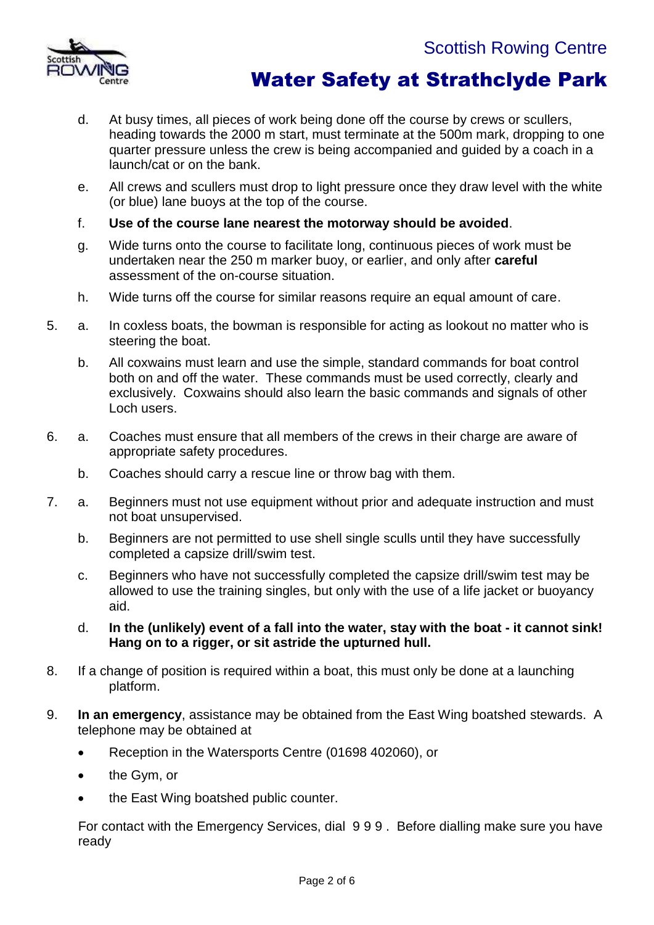



- d. At busy times, all pieces of work being done off the course by crews or scullers, heading towards the 2000 m start, must terminate at the 500m mark, dropping to one quarter pressure unless the crew is being accompanied and guided by a coach in a launch/cat or on the bank.
- e. All crews and scullers must drop to light pressure once they draw level with the white (or blue) lane buoys at the top of the course.
- f. **Use of the course lane nearest the motorway should be avoided**.
- g. Wide turns onto the course to facilitate long, continuous pieces of work must be undertaken near the 250 m marker buoy, or earlier, and only after **careful**  assessment of the on-course situation.
- h. Wide turns off the course for similar reasons require an equal amount of care.
- 5. a. In coxless boats, the bowman is responsible for acting as lookout no matter who is steering the boat.
	- b. All coxwains must learn and use the simple, standard commands for boat control both on and off the water. These commands must be used correctly, clearly and exclusively. Coxwains should also learn the basic commands and signals of other Loch users.
- 6. a. Coaches must ensure that all members of the crews in their charge are aware of appropriate safety procedures.
	- b. Coaches should carry a rescue line or throw bag with them.
- 7. a. Beginners must not use equipment without prior and adequate instruction and must not boat unsupervised.
	- b. Beginners are not permitted to use shell single sculls until they have successfully completed a capsize drill/swim test.
	- c. Beginners who have not successfully completed the capsize drill/swim test may be allowed to use the training singles, but only with the use of a life jacket or buoyancy aid.
	- d. **In the (unlikely) event of a fall into the water, stay with the boat - it cannot sink! Hang on to a rigger, or sit astride the upturned hull.**
- 8. If a change of position is required within a boat, this must only be done at a launching platform.
- 9. **In an emergency**, assistance may be obtained from the East Wing boatshed stewards. A telephone may be obtained at
	- Reception in the Watersports Centre (01698 402060), or
	- the Gym, or
	- the East Wing boatshed public counter.

For contact with the Emergency Services, dial 9 9 9 . Before dialling make sure you have ready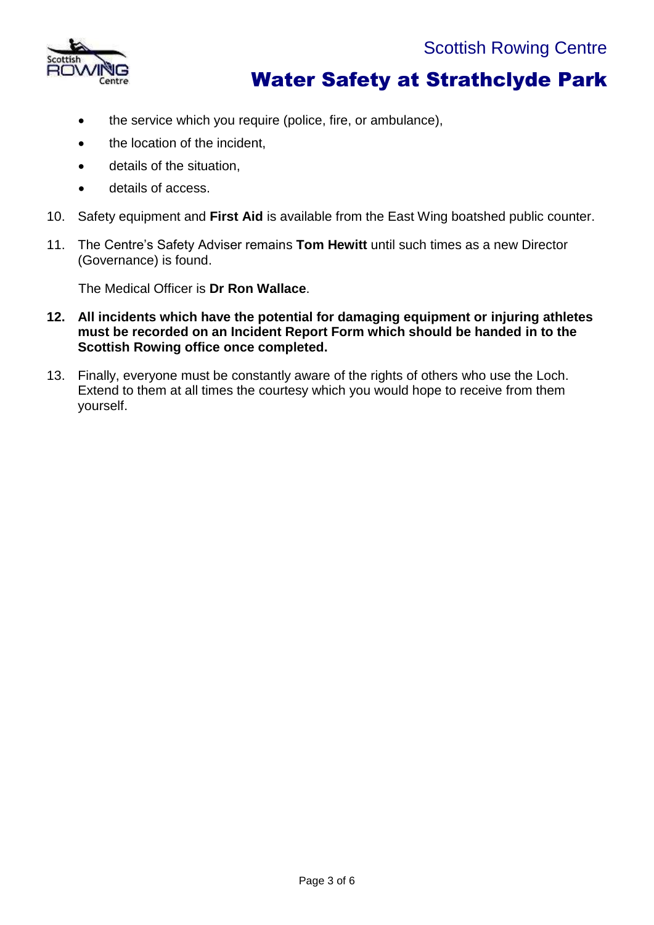

- the service which you require (police, fire, or ambulance),
- the location of the incident,
- **•** details of the situation.
- details of access.
- 10. Safety equipment and **First Aid** is available from the East Wing boatshed public counter.
- 11. The Centre's Safety Adviser remains **Tom Hewitt** until such times as a new Director (Governance) is found.

The Medical Officer is **Dr Ron Wallace**.

- **12. All incidents which have the potential for damaging equipment or injuring athletes must be recorded on an Incident Report Form which should be handed in to the Scottish Rowing office once completed.**
- 13. Finally, everyone must be constantly aware of the rights of others who use the Loch. Extend to them at all times the courtesy which you would hope to receive from them yourself.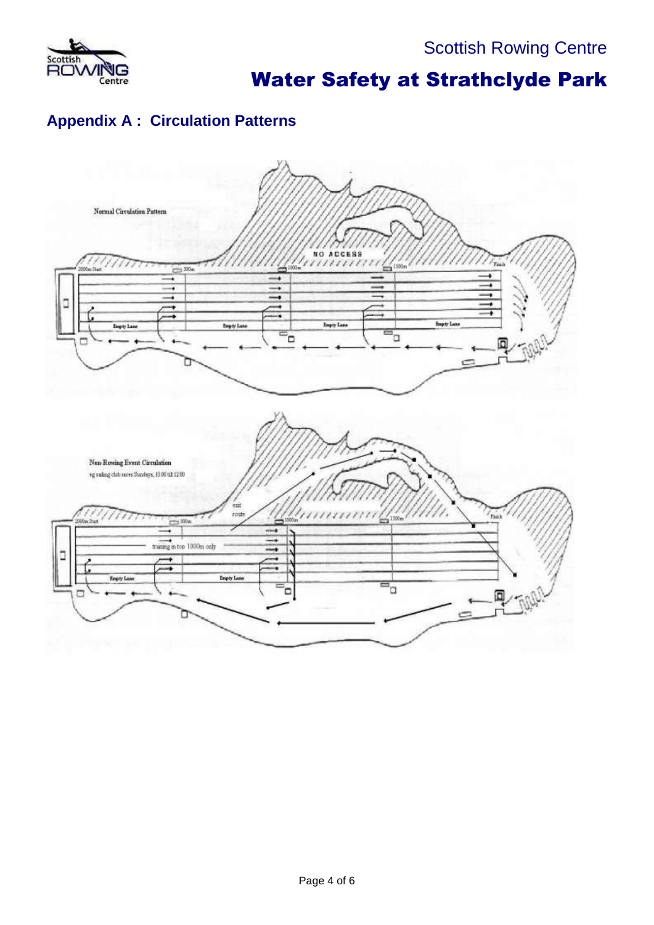

### **Appendix A : Circulation Patterns**

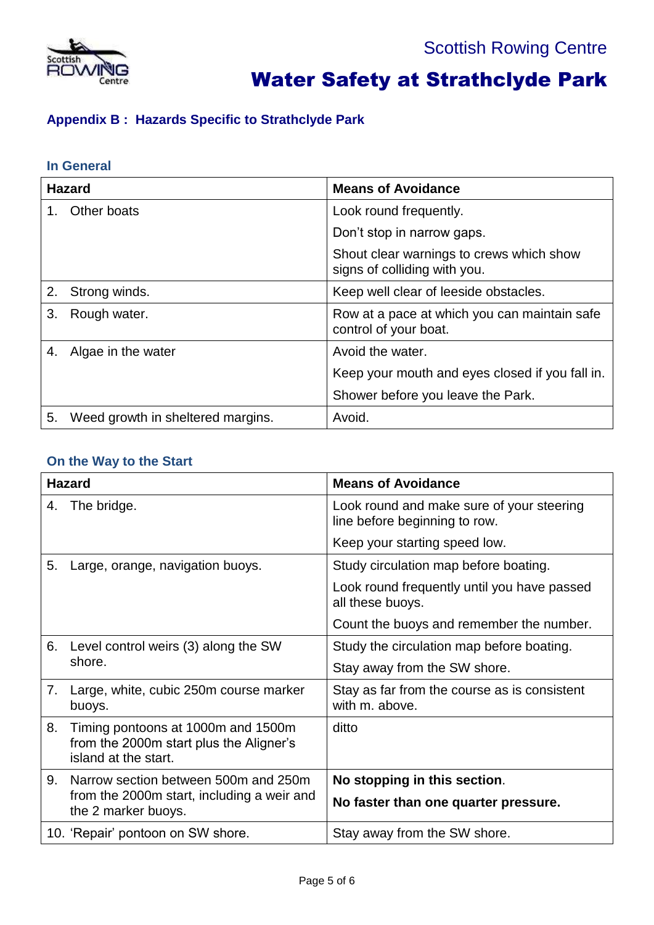

### **Appendix B : Hazards Specific to Strathclyde Park**

#### **In General**

| <b>Hazard</b> |                                   | <b>Means of Avoidance</b>                                                |
|---------------|-----------------------------------|--------------------------------------------------------------------------|
| $1_{-}$       | Other boats                       | Look round frequently.                                                   |
|               |                                   | Don't stop in narrow gaps.                                               |
|               |                                   | Shout clear warnings to crews which show<br>signs of colliding with you. |
|               | 2. Strong winds.                  | Keep well clear of leeside obstacles.                                    |
| 3.            | Rough water.                      | Row at a pace at which you can maintain safe<br>control of your boat.    |
| 4.            | Algae in the water                | Avoid the water.                                                         |
|               |                                   | Keep your mouth and eyes closed if you fall in.                          |
|               |                                   | Shower before you leave the Park.                                        |
| 5.            | Weed growth in sheltered margins. | Avoid.                                                                   |

### **On the Way to the Start**

| <b>Hazard</b> |                                                                                                           | <b>Means of Avoidance</b>                                                  |
|---------------|-----------------------------------------------------------------------------------------------------------|----------------------------------------------------------------------------|
| 4.            | The bridge.                                                                                               | Look round and make sure of your steering<br>line before beginning to row. |
|               |                                                                                                           | Keep your starting speed low.                                              |
| 5.            | Large, orange, navigation buoys.                                                                          | Study circulation map before boating.                                      |
|               |                                                                                                           | Look round frequently until you have passed<br>all these buoys.            |
|               |                                                                                                           | Count the buoys and remember the number.                                   |
| 6.            | Level control weirs (3) along the SW<br>shore.                                                            | Study the circulation map before boating.                                  |
|               |                                                                                                           | Stay away from the SW shore.                                               |
| 7.            | Large, white, cubic 250m course marker<br>buoys.                                                          | Stay as far from the course as is consistent<br>with m. above.             |
| 8.            | Timing pontoons at 1000m and 1500m<br>from the 2000m start plus the Aligner's<br>island at the start.     | ditto                                                                      |
| 9.            | Narrow section between 500m and 250m<br>from the 2000m start, including a weir and<br>the 2 marker buoys. | No stopping in this section.                                               |
|               |                                                                                                           | No faster than one quarter pressure.                                       |
|               | 10. 'Repair' pontoon on SW shore.                                                                         | Stay away from the SW shore.                                               |